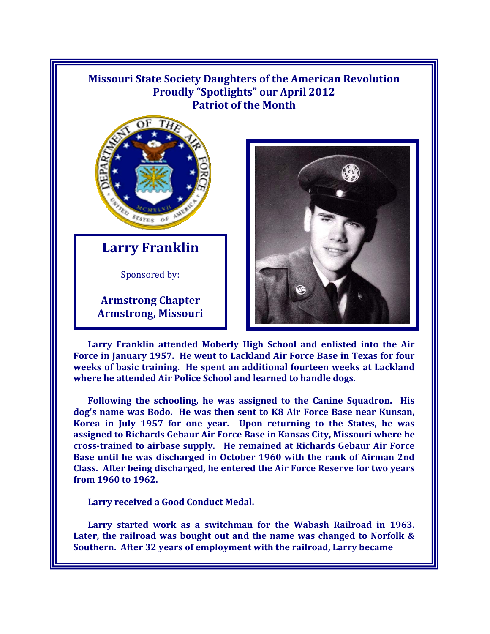## **Missouri State Society Daughters of the American Revolution Proudly "Spotlights" our April 2012 Patriot of the Month**



**Larry Franklin**

Sponsored by:

**Armstrong Chapter Armstrong, Missouri** 



**Larry Franklin attended Moberly High School and enlisted into the Air Force in January 1957. He went to Lackland Air Force Base in Texas for four weeks of basic training. He spent an additional fourteen weeks at Lackland where he attended Air Police School and learned to handle dogs.** 

**Following the schooling, he was assigned to the Canine Squadron. His dog's name was Bodo. He was then sent to K8 Air Force Base near Kunsan, Korea in July 1957 for one year. Upon returning to the States, he was assigned to Richards Gebaur Air Force Base in Kansas City, Missouri where he cross-trained to airbase supply. He remained at Richards Gebaur Air Force Base until he was discharged in October 1960 with the rank of Airman 2nd Class. After being discharged, he entered the Air Force Reserve for two years from 1960 to 1962.** 

**Larry received a Good Conduct Medal.** 

**Larry started work as a switchman for the Wabash Railroad in 1963. Later, the railroad was bought out and the name was changed to Norfolk & Southern. After 32 years of employment with the railroad, Larry became**